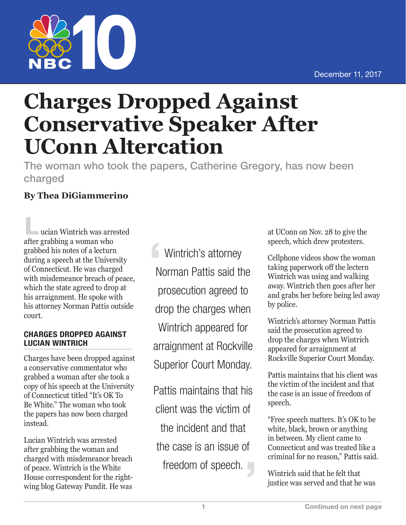

## **Charges Dropped Against Conservative Speaker After UConn Altercation**

The woman who took the papers, Catherine Gregory, has now been charged

## **By Thea DiGiammerino**

**L**ucian Wintrich was arrested after grabbing a woman who grabbed his notes of a lecturn during a speech at the University of Connecticut. He was charged with misdemeanor breach of peace, which the state agreed to drop at his arraignment. He spoke with his attorney Norman Pattis outside court.

## CHARGES DROPPED AGAINST LUCIAN WINTRICH

Charges have been dropped against a conservative commentator who grabbed a woman after she took a copy of his speech at the University of Connecticut titled "It's OK To Be White." The woman who took the papers has now been charged instead.

Lucian Wintrich was arrested after grabbing the woman and charged with misdemeanor breach of peace. Wintrich is the White House correspondent for the rightwing blog Gateway Pundit. He was

**Wintrich's attorney** Norman Pattis said the prosecution agreed to drop the charges when Wintrich appeared for arraignment at Rockville Superior Court Monday.

Pattis maintains that his client was the victim of the incident and that the case is an issue of freedom of speech. at UConn on Nov. 28 to give the speech, which drew protesters.

Cellphone videos show the woman taking paperwork off the lectern Wintrich was using and walking away. Wintrich then goes after her and grabs her before being led away by police.

Wintrich's attorney Norman Pattis said the prosecution agreed to drop the charges when Wintrich appeared for arraignment at Rockville Superior Court Monday.

Pattis maintains that his client was the victim of the incident and that the case is an issue of freedom of speech.

"Free speech matters. It's OK to be white, black, brown or anything in between. My client came to Connecticut and was treated like a criminal for no reason," Pattis said.

Wintrich said that he felt that justice was served and that he was